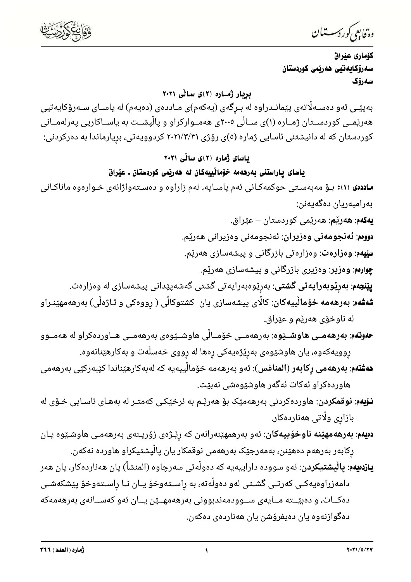وة فابعي كوردستيان

كۆمارى عيراق سەرۆكايەتيى ھەربمى كوردستان سەرۆك

بریار ژماره (۲)ی سالّی ۲۰۲۱

بەپێـی ئەو دەسـﻪڵاتەی پێمانـﺪراوە لە بـڕگەی (يەكەم)ی مـﺎددەی (دەيەم) لە ياسـﺎی سـﻪرۆكايەتيى هەرێمــی کوردســتان ژمــاره (۱)ی ســاڵی ۲۰۰۵ی هەمــوارکراو و پاڵپشــت به یاســاکاریی پەرلەمــانی کوردستان که له دانیشتنی ئاسایی ژماره (٥)ی رۆژی ۲۰۲۱/۳/۳۱ کردوویهتی، برِیارماندا به دهرکردنی:

یاسای ژماره (۲)ی سانّی ۲۰۲۱

ياساي ياراستني بەرھەمە خۆمانييەكان لە ھەربىي كوردستان . عيراق

**ساددهی** ۱۱): بـۆ مەبەسـتى حوکمەکـانى ئەم ياسـايە، ئەم زاراوە و دەسـتەواژانەى خـوارەوە ماناكـانى بەرامبەريان دەگەيەنن:

**يەكەم**: ھ<mark>ەرێم</mark>: ھەرێمى كوردستان – عێراق. **دووم: ئەنجومەنى وەزيران**: ئەنجومەنى وەزيرانى ھەرێم. **سێیهم: وهزارهت**: وهزارهتی بازرگانی و پیشهسازی ههریم. **چوارمم: وهزیر**: وهزیری بازرگانی و پیشهسازی ههریم. **ییّنجهم**: **بهریّوبهرایهتی گشتی**: بهریّوهبهرایهتی گشتی گهشهپیّدانی پیشهسازی له وهزارهت. **شەشەم: بەرھەمە خۆماڵييەكان**: كاڵاى پيشەسازى يان كشتوكاڵى ( رووەكى و ئـاژەڵى) بەرھەمھێنـراو له ناوخۆی هەرێم و عێراق.

- **حەوتەم**: **بەرھەمــى ھاوشــێوە**: بەرھەمــى خۆمــالْى ھاوشــێوەى بەرھەمــى ھــاوردەكراو لە ھەمــوو ڕوویەکەوە، یان ھاوشێوەی بەرێژەیەکی رِەھا لە رِووی خەسڵەت و بەکارھێنانەوە.
- **هەشتەم**: **بەرھەمى رِكابەر (المنافس**): ئەو بەرھەمە خۆمالْييەيە كە لەبەكارھێناندا كێبەركێى بەرھەمى هاوردەكراو ئەكات ئەگەر ھاوشێوەشى نەبێت.
- **نـۆيەم**: **نوقمکردن**: ھاوردەکردنى بەرھەمێک بۆ ھەرێـم بە نرخێکـى کەمتـر لە بەھـاى ئاسـايى خـۆى لە بازاری ولّاتی هەناردەكار.
- **دەيەم: بەرھەمھێنە ناوخۆييەكان**: ئەو بەرھمھێنەرانەن كە رێـژەی زۆريـنەی بەرھەمـی ھاوشـێوە يـان رکابەر بەرھەم دەھێنن، بەمەرجێک بەرھەمی نوقمکار یان پالْپشتیکراو ھاوردە نەکەن.

**یازدهیهم**: **پالْپشتیکردن**: ئەو سووده داراییەیە کە دەولْەتی سەرچاوە (المنشأ) یان ھەناردەکار، یان ھەر دامەزراوەيەكـى كەرتـى گشـتى لەو دەولْەتە، بە راسـتەوخۆ يـان نـا راسـتەوخۆ پێشكەشـى دەكــات، و دەبێــتە مــايەی ســوودمەندبوونی بەرھەمھــێن يــان ئەو كەســانەی بەرھەمەكە دەگوازنەوە يان دەيفرۆشن يان ھەناردەی دەكەن.

 $\overline{\mathbf{A}}$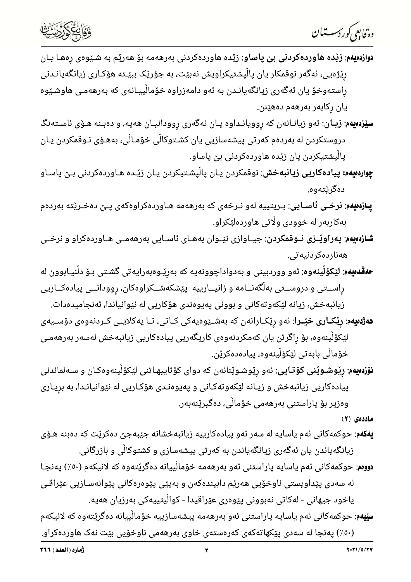

—

- **رتّابِ کُررکستان**<br>**دوابِمِ** *کو***رکستان**<br>دوا**زدمیهم: زیّده هاوردهکردنی بن پاساو**: زیّده هاوردهکردنی بهرههمه بوّ ههریّم به شـیّوهی رِهها یـان<br>راستهوخوّ یان نهگهری زیانگهیانـدن به نُهو دامهزراوه خوّمالِّییـانهی که بهرهممی ها
- **سیّزدهیهم: زیـان**: ئەو زیانـانەن کە روویانـداوه یـان ئەگەری روودانیـان هەیە، و دەبـنە هـۆی ئاسـتەنگ دروستکردن له بەردەم کەرتى پیشەسازیى یان کشـتوکاڵى خۆمـاڵى، بەھـۆى نـوقمکردن یـان پالْیشتیکردن یان زیّده هاوردهکردنی بیّ پاساو.
- **چواردەيەم: پيادەكاريى زيانبەخش**: نوقمكردن يـان پالْپشـتيكردن يـان زێـدە ھـاوردەكردنى بـێ پاسـاو
- 
- 
- 
- 
- **سیزدسید:** زیباًن: نمو زیبانه نمر ته رومیانداوه یـان نمگمری روودانیـان هدیه، و ددبـنه هـذی ناسـتمنگ<br>در مینگیم از بیباًن: نمو زیبانـانمن که رومیانـداوه یـان نمگمری روودانیـان هدیه، و ددبـنه هـذی ناسـتمنگ<br>پ**ازنمینه: نرخـی ن**

- **یهکهم**: حوکمهکانی ئهم یاسایه له سهر ئهو پیادهکارییه زیانبهخشانه جێبهجێ دهکرێت که دهبنه هـۆی زیانگهیاندن یان ئهگەری زیانگەیاندن به کەرتی پیشەسازی و کشتوکالّی و بازرگانی.
- دوومم: حوکمهکانی ئهم یاسایه پاراستنی ئهو بهرههمه خۆمالْییانه دهگریّتهوه که لانیکهم (٥٠٪) پهنجـا
- له سەدى پێداويستى ناوخۆيى ھەرێم دابيندەكەن و بەپێى پێوەرەكانى پێوانەسـازيى عێراقـى ياخود جيهانى - لەكاتى نەبوونى پێوەرى عێراقيدا - كواڵيتييەكى بەرزيان ھەيە.

**سێيەم**: حوكمەكانى ئەم ياسايە پاراستنى ئەو بەرھەمە پيشەسازييە خۆمالْييانە دەگرێتەوە كە لانيكەم وهه اینجا له سهدی پیکهاته کهی که ره $\epsilon$ ستهی خاوی به رهه می ناوخویی بیت نه کهاورده کراو.  $(2\cdot\epsilon)$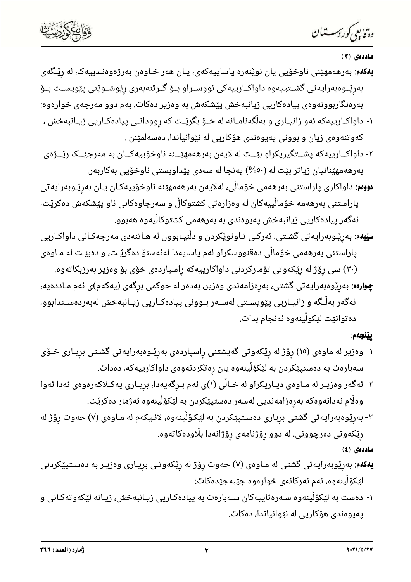وة فابعي كوردستيان

#### ماددەي (۳)

- **يەكەم**: بەرھەمھێنى ناوخۆيى يان نوێنەرە ياساييەكەي، يـان ھەر خـاوەن بەرژەوەنـدييەک، لە رێـگەي بەرێـوەبەرايەتى گشــتییەوە داواكــارییەكى نووســراو بــۆ گــرتنەبەرى رێوشــوێنى پێویســت بــۆ بەرەنگاربوونەوەی پیادەكاریی زیانبەخش پێشکەش بە وەزیر دەكات، بەم دوو مەرجەی خوارەوە: ۱- داواکـارییهکه ئهو زانیـاری و بهڵگهنامـانه له خــۆ بگرێــت که رِوودانــی پیادهکـاریی زیــانبهخش ،
- کەوتنەوەی زیان و بوونی پەيوەندی ھۆکاریی لە نێوانیاندا، دەسەلمێنن .
- ۲- داواکــارییهکه پشــتگیریکراو بێــت له لایهن بهرههمهێــنه ناوخۆییهکــان به مهرجێــک رێــژهی بەرھەمھێنانیان زیاتر بێت لە (٥٠%) پەنجا لە سەدى پێداویستى ناوخۆیى بەكاربەر.
- **دووم**: داواکاری پاراستنی بەرھەمی خۆماڵی، لەلايەن بەرھەمھێنە ناوخۆييەکـان يـان بەرێـوبەرايەتی پاراستنی بەرھەمە خۆماڵییەکان لە وەزارەتی کشتوکاڵ و سەرچاوەکانی ئاو پێشکەش دەکرێت، ئەگەر پیادەكاریی زیانبەخش پەيوەندی بە بەرھەمی كشتوكالّیەوە ھەبوو.
- **سێیهم**: بەرێـوبەرایەتی گشـتی، ئەرکـی تـاوتوێکردن و دڵنیـابوون له هـاتنەدی مەرجەکـانی داواکـاریی پاراستنی بەرھەمی خۆماڵی دەقنووسکراو لەم ياسايەدا لەئەستۆ دەگرێـت، و دەبێـت لە مـاوەی
	- (۳۰) سی رِوْژ له رِیْکەوتی تۆمارکردنی داواکارییەکه رِاسپاردەی خۆی بۆ وەزیر بەرزبکاتەوە.

**چِوارەم**: بەرێوەبەرايەتى گشتى، بەرەزامەندى وەزیر، بەدەر لە حوكمى برگەى (يەكەم)ى ئەم مـاددەيە، ئەگەر بەڵـگە و زانيــاريى پێویســتى لەســەر بــوونى پيادەكــاريى زيــانبەخش لەبەردەســتدابوو، دەتوانێت لێکوڵینەوە ئەنجام بدات.

## يێنجەم:

- ۱- وەزیر لە ماوەی (١٥) رۆژ لە رێکەوتی گەیشتنی راسپاردەی بەرێـوەبەرایەتی گشـتی بریـاری خـۆی سەبارەت بە دەستپێکردن بە لێکۆڵینەوە یان رەتکردنەوەی داواکارییەکە، دەدات.
- ۲- ئەگەر وەزيـر لە مـاوەی ديـاريكراو لە خـاڵى (۱)ى ئەم بـرِگەيەدا، برِيـارى يەكـلاكەرەوەى نەدا ئەوا وەلّام نەدانەوەكە بەرەزامەنديى لەسەر دەستپێكردن بە لێكۆلْينەوە ئەژمار دەكرێت.
- ۳- بەرێوەبەرايەتى گشتى بريارى دەسـتپێکردن بە لێکـۆڵينەوە، لانـيکەم لە مـاوەى (۷) حەوت رۆژ لە رِیْکەوتی دەرچوونی، لە دوو رِۆژنامەی رۆژانەدا بلّاودەکاتەوە.

ماددەى (٤)

- **یهکهم**: بهرِیْوبهرایه<code>تی گشتی</code> له مـاوهی (۷) حهوت رِوِّژ له رِیْکهوتی برِیـاری وهزیـر به دهسـتپیٚکردنی لێػۆڵۑنەوە، ئەم ئەركانەي خوارەوە جێبەجێدەكات:
- ۱- دەست بە لێکۆڵینەوە سـﻪرەتاييەکان سـﻪبارەت بە پیادەکـاریی زیـانبەخش، زیـانە لێکەوتەکـانی و يەيوەندى ھۆكاريى لە نێوانياندا، دەكات.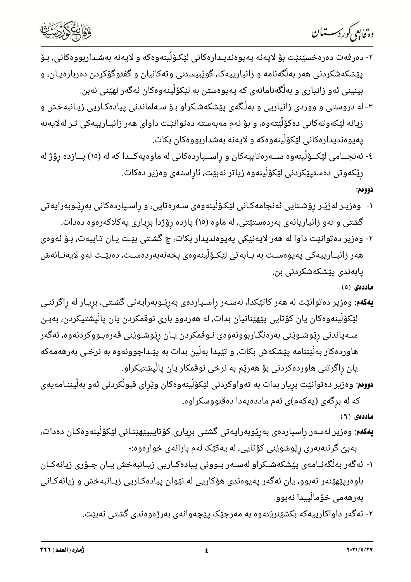دە قايېم كوردستىلان



- ۲- دەرفەت دەرەخسێنێت بۆ لايەنە پەيوەنديـدارەكانى لێكۆلْينەوەكە و لايەنە بەشـداربووەكانى، بـۆ پێشکهشکردنی ههر بهڵگهنامه و زانیارییهک، گوێبیستنی وتهکانیان و گفتوگۆکردن دهربارهیـان، و بینینی ئەو زانیاری و بەڵگەنامانەی کە پەيوەستن بە لێکۆڵینەوەکان ئەگەر نھێنی نەبن.
- ۳- له دروستی و ووردی زانیاریی و بهڵگهی پێشکهشـکراو بـۆ سـهلماندنی پیادهکـاریی زیـانبهخش و زیانه لێکەوتەکانی دەکۆڵێتەوە، و بۆ ئەم مەبەستە دەتوانێت داوای ھەر زانیـارییەکی تـر لەلایەنە پەيوەنديدارەكانى لێكۆڵينەوەكە و لايەنە بەشداربووەكان بكات.
- ٤- ئەنجــامى لێکــۆڵینەوە ســەرەتاييەکان و ڕاســپاردەکانى لە ماوەيەکــدا کە لە (١٥) پــازدە ڕۆژ لە رێکەوتى دەستپێکردنى لێکۆڵینەوە زیاتر نەبێت، ئاڕاستەى وەزیر دەکات.

#### دوومم:

- ۱- وەزيـر لەژێـر رۆشـنايى ئەنجامەكـانى لێكـۆڵينەوەى سـەرەتايى، و راسـپاردەكانى بەرێـوبەرايەتى گشتی و ئهو زانیاریانهی بهردهستیتی، له ماوه (١٥) پازده رۆژدا بریاری یهکلاکهرهوه دهدات.
- ۲- وەزیر دەتوانێت داوا لە ھەر لایەنێکی پەیوەندیدار بکات، چ گشـتی بێـت یـان تـایبەت، بـۆ ئەوەی هەر زانيــارييەكى پەيوەســت بە بــابەتى لێكـۆڵينەوەى بخەنەبەردەســت، دەبێــت ئەو لايەنــانەش پابەندى پێشكەشكردنى بن.

#### ماددەى (٥)

- **یهکهم**: وەزیر دەتوانێت لە هەر کاتێکدا، لەسـەر راسـپاردەی بەرێـوبەرايەتى گشـتى، برِيـار لە رِاگرتنـى لیّکۆلّینەوەکان یان کۆتایی پیّهی٘نانیان بدات، له هەردوو باری نوقمکردن یان پالْپشتیکردن، بەبـێ سـﻪپاندنی رێوشـوێنی بەرەنگـاربوونەوەی نـوقمکردن یـان رێوشـوێنی قەرەبـووکردنەوە، ئەگەر هاوردهکار بهڵێننامه پێشکهش بکات، و تێیدا بهڵین بدات به پێـداچوونهوه به نرخـی بهرههمهکه یان راگرتنی هاوردهکردنی بۆ هەرێم به نرخی نوقمکار یان پالْیشتیکراو.
- **دووم**: وەزیر دەتوانێت برِیار بدات بە تەواوکردنی لێکۆڵینەوەکان وێڕای قبوڵکردنی ئەو بەڵیننـامەیەی که له برگهی (یهکهم)ی ئهم ماددهیهدا دهقنووسکراوه.

ماددەى ( ٦ )

- **يەكەم**: وەزير لەسەر راسپاردەی بەرێوبەرايەتی گشتی برياری كۆتاييپێھێنـانی لێکۆڵينەوەكـان دەدات، بهبیٚ گرتنهبەری رِێوشوێنی کۆتایی، له یەکێک لەم بارانەی خوارەوە:-
- ۱- ئەگەر بەلْگەنــامەی پێشكەشــكراو لەســەر بــوونی پیادەكــاریی زیــانبەخش يــان جــۆری زیانەكــان باوەریێهێنەر نەبوو، یان ئەگەر پەیوەندی ھۆکاریی لە نێوان پیادەکاریی زیـانبەخش و زیانەکـانی بەرھەمى خۆمالّييدا نەبوو.
	- ۲- ئەگەر داواكارييەكە بكشێنرێتەوە بە مەرجێک يێڃەوانەی بەرژەوەندی گشتی نەبێت.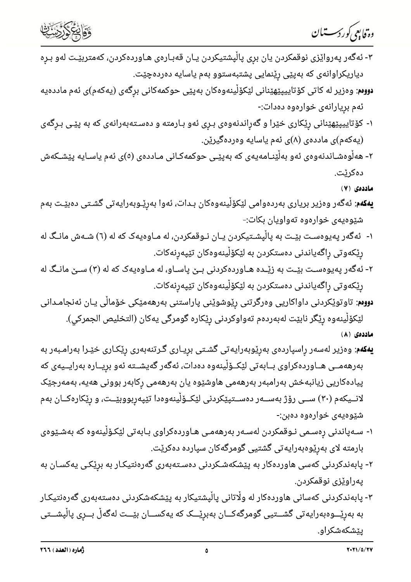



- ۳- ئەگەر پەرواێزى نوقمکردن يان برى پاڵپشتيکردن يـان قەبـارەى ھـاوردەکردن، کەمتربێـت لەو بـرِه دیاریکراوانەی کە بەپێی رێنمایی پشتبەستوو بەم یاسایە دەردەچێت.
- **دووم**: وەزیر لە کاتی کۆتاییپێھێنانی لێکۆڵینەوەکان بەپێی حوکمەکانی برگەی (یەکەم)ی ئەم ماددەیە ئەم بريارانەى خوارەوە دەدات:-
- ۱- کۆتاييپێهێنانی رێکاری خێرا و گەراندنەوەی بـرِی ئەو بـارمته و دەسـتەبەرانەی کە بە پێـی بـرِگەی (يەكەم)ى ماددەي (٨)ى ئەم ياسايە وەردەگيرێن.
- ۲- ھەڵوەشـاندنەوەی ئەو بەڵێنـامەيەی کە بەپێـی حوکمەکـانی مـاددەی (٥)ی ئەم ياسـايە پێشــکەش دەكرێت.

ماددەى (٧)

- **يەكەم**: ئەگەر وەزير بريارى بەردەوامى لێكۆڵينەوەكان بـدات، ئەوا بەرێـوبەرايەتى گشـتى دەبێـت بەم شێوەیەی خوارەوە تەواویان بکات:-
- ۱- ئەگەر پەيوەسـت بێـت بە پاڵپشـتيكردن يـان نـوقمكردن، لە مـاوەيەک كە لە (٦) شـەش مانـگ لە رێکەوتی راگەیاندنی دەستکردن بە لێکۆڵینەوەکان تێپەرنەکات.
- ۲- ئەگەر پەيوەسـت بێـت بە زێـدە ھـاوردەكردنى بـێ پاسـاو، لە مـاوەيەک كە لە (۳) سـێ مانـگ لە رِیْکەوتی رِاگەیاندنی دەستکردن بە لی٘کۆلْینەوەکان تی٘پەرنەکات.
- **دووم**: تاوتوێکردنی داواکاریی وەرگرتنی رِێوشوێنی پاراستنی بەرھەمێکی خۆماڵی یـان ئەنجامـدانی لێکۆڵینەوە رێگر نابێت لەبەردەم تەواوکردنی رێکارە گومرگی یەکان (التخلیص الجمرکي).

ماددەى (٨)

- **يەكەم**: وەزير لەسەر راسپاردەی بەرێوبەرايەتی گشـتی بريـاری گـرتنەبەری رێکـاری خێـرا بەرامـبەر بە بەرھەمــی ھــاوردەکراوی بــابەتی لێکــۆڵینەوە دەدات، ئەگەر گەیشــتە ئەو بریــارە بەرایــیەی کە پیادەکاریی زیانبەخش بەرامبەر بەرھەمی ھاوشێوە یان بەرھەمی رکابەر بوونی ھەیە، بەمەرجێک لانــیکهم (۳۰) ســی رۆژ بهســهر دهســتپێکردنی لێکــۆلٚینهوهدا تێپهربووبێــت، و رێکارهکــان بهم شێوەيەى خوارەوە دەبن:-
- ۱- سـﻪپاندنى ڕەسـمى نـﻮقمکردن لەسـﻪر بەرھەمـى ھـﺎﻭردەکراوى بـﺎبەتى لێکـۆڵینەوە کە بەشـێوەى بارمته لای بەرێوەبەرايەتی گشتیی گومرگەکان سپاردە دەکرێت.
- ۲- پابەندکردنی کەسی ھاوردەکار بە پێشکەشـکردنی دەسـتەبەری گەرەنتیکـار بە برێکـی یەکسـان بە يەراوێزى نوقمكردن.
- ۳- پابەندکردنی کەسانی هاوردەکار لە وڵاتانی پاڵپشتیکار بە پێشکەشکردنی دەستەبەری گەرەنتیکار به بەرێـــوەبەرايەتى گشـــتيى گومرگەكـــان بەبرێـــک کە يەکســـان بێـــت لەگەڵ بـــرِى پاڵپشـــتى ییشکهشکراو.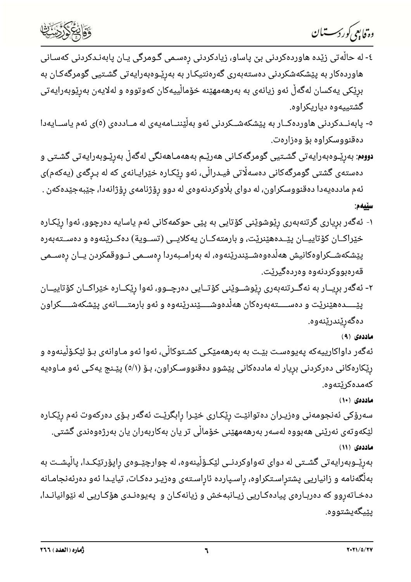



- ٤- له حالْهتی زیّده هاوردهکردنی بیّ پاساو، زیادکردنی رەسـمی گـومرگی یـان پابهنـدکردنی کهسـانی هاوردهکار به پیشکهشکردنی دهستهبهری گهرهنتیکار به بهریْـوهبهرایهتی گشـتیی گومرگهکـان به برێکی یەکسان لەگەڵ ئەو زیانەی بە بەرھەمھێنە خۆماڵییەکان کەوتووە و لەلایەن بەرێوبەرایەتی گشتیپهوه دیاریکراوه.
- ٥- پابەنــدکردنی هاوردەکــار بە پێشکەشــکردنی ئەو بەڵێننــامەیەی لە مــاددەی (٥)ی ئەم یاســایەدا دەقنووسكراوە بۆ وەزارەت.
- **دووم**: بەرێـوەبەرايەتى گشـتيى گومرگەكـانى ھەرێـم بەھەمـاھەنگى لەگەڵ بەرێـوبەرايەتى گشـتى و دەستەی گشتی گومرگەکانی دەسەلّاتی فیـدرالّی، ئەو رِی٘کـارە خی٘رایـانەی کە لە بـرِگەی (یەکەم)ی ئەم ماددەيەدا دەقنووسكراون، لە دواى بڵاوكردنەوەى لە دوو رۆژنامەى رۆژانەدا، جێبەجێدەكەن . سێيەم:
- ۱- ئەگەر بريارى گرتنەبەرى رێوشوێنى كۆتايى بە پێى حوكمەكانى ئەم ياسايە دەرچوو، ئەوا رێكـارە خێراکــان کۆتاييــان پێــدەهێنرێت، و بارمتەکــان يەکلايــی (تســوية) دەکــرێنەوە و دەســتەبەرە پێشکەشــکراوەکانیش ھەڵدەوەشــێندرێنەوە، لە بەرامــبەردا رەســمی نــووقمکردن یــان رِەســمی قەرەبووكردنەوە وەردەگيرێت.
- ۲- ئەگەر بريــار بە نەگــرتنەبەرى رێوشــوێنى كۆتــايى دەرچــوو، ئەوا رێکــارە خێراکــان کۆتاييــان پێـــــدههێنرێت و دهســــتهبهرهکان هەڵدەوشــــێندرێنهوه و ئەو بارمتـــــانەی پێشکەشـــــکراون دەگەرێندرێنەوە.

## ماددەي (۹)

ئەگەر داواكارييەكە پەيوەسـت بێـت بە بەرھەمێكـى كشـتوكاڵى، ئەوا ئەو مـاوانەى بـۆ لێكـۆڵينەوە و رِیٚکارەکانی دەرکردنی برِیار له ماددەکانی پی٘شوو دەقنووسـکراون، بـۆ (٥/١) پی٘ـنج یەکـی ئەو مـاوەیە كەمدەكرێتەوە.

## ماددهی (۱۰)

سەرۆكى ئەنجومەنى وەزيـران دەتوانێـت رێكـارى خێـرا رِابگرێـت ئەگەر بـۆى دەركەوت ئەم رێكـارە لێکەوتەی نەرێنی ھەبووە لەسەر بەرھەمھێنی خۆماڵی تر یان بەکاربەران یان بەرژەوەندی گشتی. ماددهی (۱۱)

بەرێـوبەرايەتى گشــتى لە دواى تەواوكردنــى لێكــۆڵينەوە، لە چوارچێــوەى راپۆرتێكــدا، پاڵپشــت بە بهڵگەنامه و زانیاریی پشتراسـتکراوه، راسـپارده ئاراسـتەی وەزیـر دەکـات، تیایـدا ئەو دەرئەنجامـانە دهخـاتهروو که دهربـارهی پیادهکـاریی زیـانبهخش و زیانهکـان و پهیوهنـدی هۆکـاریی له نێوانیانـدا، ىٽىگەيشتووە.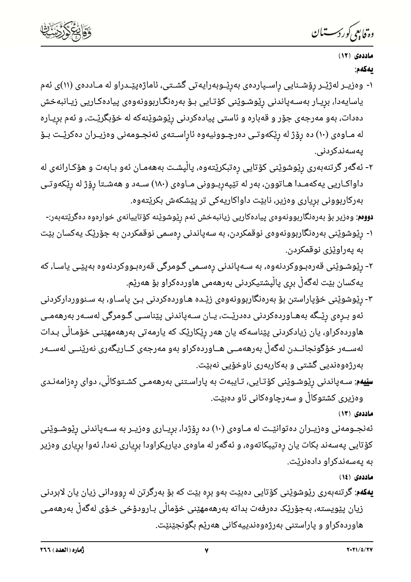

وە فابىي كوردسىتىان

# ماددهی (۱۲) ىەكەم:

- ۱- وەزيــر لەژێـر رۆشــنايى راســپاردەی بەرێــوبەرايەتى گشــتى، ئاماژەپێــدراو لە مــاددەی (۱۱)ى ئەم ياسايەدا، بړيـار بەسـەپاندنى رِێوشـوێنى كۆتـايى بـۆ بەرەنگـاربوونەوەى پيادەكـاريى زيـانبەخش دهدات، بهو مەرجەی جۆر و قەباره و ئاستی پیادەکردنی رێوشوێنەکە لە خۆبگرێت، و ئەم بریـارە له مـاوەی (۱۰) ده رۆژ له رێکەوتـی دەرچـوونيەوه ئاراسـتەی ئەنجـومەنی وەزيـران دەکرێـت بـۆ يەسەندكردنى.
- ۲- ئەگەر گرتنەبەرى رێوشوێنى كۆتايى رەتبكرێتەوە، پاڵپشـت بەھەمـان ئەو بـابەت و ھۆكـارانەى لە داواکـاریی یهکهمـدا هـاتوون، بهر له تێپهربـوونی مـاوهی (۱۸۰) سـهد و ههشـتا رِوٚژ له رِێکهوتـی بەركاربوونى بريارى وەزير، نابێت داواكاريەكى تر يێشكەش بكرێتەوە.

**دووم**: وەزیر بۆ بەرەنگاربوونەوەی پیادەكاریی زیانبەخش ئەم رێوشوێنە كۆتاييانەی خوارەوە دەگرێتەبەر:-

- ۱- رێوشوێنی بەرەنگاربوونەوەی نوقمکردن، بە سەپاندنی رەسمی نوقمکردن بە جۆرێک یەکسان بێت به پەراوێزى نوقمكردن.
- ۲- رێوشـوێنی قەرەبـووکردنەوە، بە سـەپاندنی رەسـمی گـومرگی قەرەبـووکردنەوە بەپێـی یاسـا، کە يەكسان بێت لەگەڵ برى پاڵپشتيكردنى بەرھەمى ھاوردەكراو بۆ ھەرێم.
- ۳- رێوشوێنی خۆپاراستن بۆ بەرەنگاربوونەوەی زێـدە ھـاوردەکردنی بـێ پاسـاو، بە سـنووردارکردنی ئەو بـرەی رێـگە بەھـاوردەكردنى دەدرێـت، يـان سـﻪپاندنى پێناسـى گـﻮﻣﺮگى لەسـﻪر بەرھەمـى هاوردەكراو، يان زيادكردنى پێناسەكە يان هەر رێكارێک کە يارمەتى بەرھەمھێنـى خۆمـاڵى بـدات لەســەر خۆگونجانــدن لەگەڵ بەرھەمــى ھــاوردەكراو بەو مەرجەى كــاريگەرى نەرێنــى لەســەر بەرژەوەندیی گشتی و بەكاربەری ناوخۆیی نەبێت.
- **سێیەم**: سـﻪپاندنی رێوشـوێنی کۆتـایی، تـایبەت بە پاراسـتنی بەرھەمـی کشـتوکاڵی، دوای رەزامەنـدی وەزيرى كشتوكالْ و سەرچاوەكانى ئاو دەبێت.

ماددهى (١٣)

ئەنجـومەنى وەزيـران دەتوانێـت لە مـاوەى (١٠) دە رِۆژدا، برِيـارى وەزيـر بە سـەپاندنى رِێوشـوێنى کۆتایی پەسەند بکات یان رەتیبکاتەوە، و ئەگەر لە ماوەی دیاریکراودا بریاری نەدا، ئەوا بریاری وەزیر به پهسهندکراو دادهنریت.

ماددهى (١٤)

**یهکهم**: گرتنهبهری رێوشوێنی کۆتایی دەبێت بەو برِه بێت که بۆ بەرگرتن له روودانی زیان یان لابردنی زيان پێویسته، بەجۆرێک دەرفەت بداتە بەرھەمھێنی خۆماڵی بـارودۆخی خـۆی لەگەڵ بەرھەمـی هاوردهکراو و یاراستنی بهرژهوهندییهکانی ههریم بگونجیْنیْت.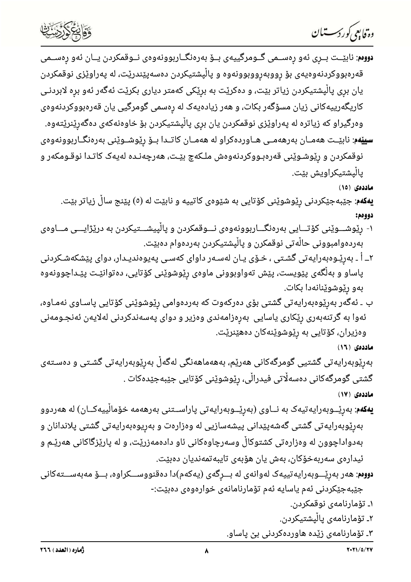دە قابىي كوردسىتىان



**دووم**: نابێــت بــرِی ئەو رِەســمی گــومرگییەی بــۆ بەرەنگــاربوونەوەی نــوقمکردن یــان ئەو رِەســمی قەرەبووكردنەوەيەى بۆ رووبەرووبوونەوە و پاڵپشتيكردن دەسەپێندرێت، لە پەراوێزى نوقمكردن یان بری پالْپشتیکردن زیاتر بیّت، و دهکریّت به بریّکی کهمتر دیاری بکریّت ئهگهر ئهو بره لابردنـی کاریگهرییهکانی زیان مسۆگەر بکات، و هەر زیادەیەک لە رەسمی گومرگیی یان قەرەبووکردنەوەی وەرگیراو که زیاتره له پەراوێزی نوقمکردن یان بری پالْپشتیکردن بۆ خاوەنەکەی دەگەرێنرێتەوە. **سیی٘هم**: نابیّــت هەمــان بەرهەمــی هــاوردەکراو له هەمــان کاتــدا بــۆ ریّوشــوی٘نی بەرەنگــاربوونەوەی نوقمکردن و رِیْوشـوێنی قەرەبـووکردنەوەش ملـکەچ بیّـت، ھەرچەنـدە لەیەک کاتـدا نوقـومکەر و پالْپشتیکراویش بێت.

ماددەى (١٥)

**یهکهم**: جێبهجێکردنی رێوشوێنی کۆتایی به شێوهی کاتییه و نابێت له (٥) پێنج ساڵ زیاتر بێت. دوومم:

- ۱- رێوشـــوێنی کۆتـــایی بەرەنگـــاربوونەوەی نـــوقمکردن و پاڵپیشـــتیکردن به درێژایـــی مـــاوەی بەردەوامبوونى حالّەتى نوقمكرن و پالْپشتيكردن بەردەوام دەبێت.
- ۲ــ أ ـ بەرێـوەبەرايەتى گشـتى ، خـۆى يـان لەسـەر داواى كەسـى پەيوەنديـدار، دواى پێشكەشـكردنى پاساو و بەڵگەی پێویست، پێش تەواوبوونی ماوەی رِێوشوێنی کۆتایی، دەتوانێـت پێـداچوونەوە بەو رێوشوێنانەدا بکات.
- ب ـ ئەگەر بەرێوەبەرايەتى گشتى بۆى دەركەوت كە بەردەوامى رێوشوێنى كۆتايى پاسـاوى نەمـاوە، ئەوا بە گرتنەبەرى رێکارى ياسايى بەرەزامەندى وەزير و دواى پەسەندکردنى لەلايەن ئەنجـومەنى وەزيران، كۆتايى بە رێوشوێنەكان دەھێنرێت.
	- ماددهى (١٦)

بەرێوبەرايەتى گشتیى گومرگەكانى ھەرێم، بەھەماھەنگى لەگەڵ بەرێوبەرايەتى گشـتى و دەسـتەى گشتی گومرگەکانی دەسەڵاتی فیدراڵی، رێوشوێنی کۆتایی جێبەجێدەکات .

ماددەى (١٧)

**یەکەم**: بەرێــوبەرایەتیەک بە نــاوی (بەرێــوبەرایەتی پاراســتنی بەرھەمە خۆماڵییەکــان) لە ھەردوو بەرێوبەرايەتى گشتى گەشەپێدانى پيشەسازيى لە وەزارەت و بەريوەبەرايەتى گشتى پلاندانان و بهدواداچوون له وەزارەتى كشتوكاڵ وسەرچاوەكانى ئاو دادەمەزرێت، و له پارێزگاكانى ھەرێـم و ئيدارەي سەربەخۆكان، بەش يان ھۆبەي تايبەتمەنديان دەبێت.

**دووم**: هەر بەرێـــوبەرايەتييەک لەوانەی لە بـــرِگەی (يەکەم)دا دەقنووســـکراوە، بـــۆ مەبەســـتەکانى جێبەجێکردنی ئەم یاسایە ئەم تۆمارنامانەی خوارەوەی دەبێت:-

- ۱ـ تۆمارنامەي نوقمكردن.
- ۲ـ تۆمارنامەي يالْيشتيكردن.
- ۳ـ تۆمارنامەی زێدە ھاوردەكردنى بى پاساو.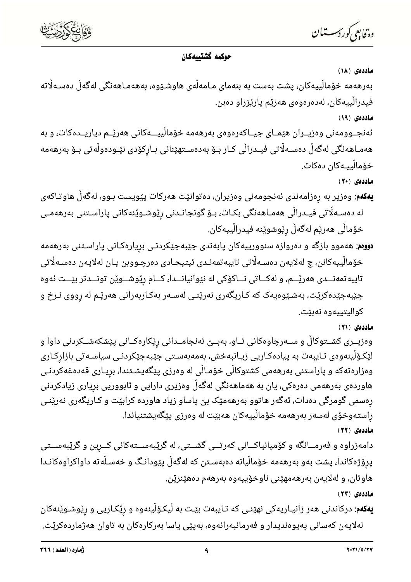

وة فابعي كوردستيان

# حوكمه گشتييهكان

ماددەى (١٨)

بەرھەمە خۆماڵییەکان، پشت بەست بە بنەمای مـامەڵەی ھاوشـێوە، بەھەمـاھەنگی لەگەڵ دەسـەلٚتە فيدرالْييەكان، لەدەرەوەي ھەرێم يارێزراو دەبن.

ماددهی (۱۹)

ئەنجــوومەنى وەزيــران ھێمــای جيــاكەرەوەی بەرھەمە خۆماڵييـــەكانى ھەرێــم دياريــدەكات، و بە ھەمـاھەنگى لەگەڵ دەسـﻪڵاتى فيـﺪراڵى كـار بـۆ بەدەسـتھێنانى بـارِكۆدى نێـﻮدەوڵەتى بـۆ بەرھەمە خۆماڵييـەكان دەكات.

ماددەي (٢٠)

- **یهکهم**: وەزیر به رەزامەندی ئەنجومەنی وەزیران، دەتوانێت هەرکات پێویست بـوو، لەگەڵ هاوتـاکەی لە دەسـﻪلْاتى فيـﺪرالْى ھەمـﺎھەنگى بكـﺎت، بـﯚ گونجانـﺪنى رێوشـوێنەكانى پاراسـتنى بەرھەمـى خۆماڵی هەرێم لەگەڵ رێوشوێنە فیدراڵییەکان.
- **دووم**: هەموو بازگه و دەروازە سنوورییەکان پابەندی جێبەجێکردنـی بریارەکـانی پاراسـتنی بەرھەمە خۆمالْييەكانن، چ لەلايەن دەسـەلّاتى تايبەتمەنـدى ئيتيحـادى دەرچـووبن يـان لەلايەن دەسـەلّاتى تايبه تمەنــدى هەرێــم، و لەكــاتى نــاكۆكى لە نێوانيانــدا، كــام رێوشــوێن تونــدتر بێــت ئەوە جێبهجێدهکرێت، بهشـێوهیهک که کـاریگهری نهرێنـی لهسـهر بهکـاربهرانی ههرێـم له ڕووی نـرخ و كواليتييەوە نەبێت.

ماددهی (۲۱)

وەزیــری کشــتوکاڵ و ســەرچاوەکانی ئــاو، بەبــێ ئەنجامــدانی رێکارەکــانی پێشکەشــکردنی داوا و لیّکۆلّینەوەی تـایبەت بە پیادەکـاریی زیـانبەخش، بەمەبەسـتی جیّبەجی٘کردنـی سیاسـەتی بازارکـاری وەزارەتەكە و پاراستنى بەرھەمى كشتوكاڵى خۆمـاڵى لە وەرزى پێگەيشـتندا، برِيـارى قەدەغەكردنـى هاوردەی بەرھەمی دەرەكی، یان بە ھەماھەنگی لەگەڵ وەزیری دارایی و ئابووریی برِیاری زیادکردنی رەسمی گومرگی دەدات، ئەگەر ھاتوو بەرھەمێک بێ پاساو زیاد ھاوردە کرابێت و کـاریگەری نەرێنـی راستەوخۆی لەسەر بەرھەمە خۆمالْييەكان ھەبێت لە وەرزى يێگەيشتنياندا. ماددەي (٢٢)

دامەزراوه و فەرمــانگە و كۆمپانياكــانى كەرتــى گشــتى، لە گرێبەســتەكانى كــرين و گرێبەســتى پرۆژەكاندا، پشت بەو بەرھەمە خۆماڵيانە دەبەسـتن كە لەگەڵ پێودانـگ و خەسـڵەتە داواكراوەكانـدا هاوتان، و لەلايەن بەرھەمھێنى ناوخۆييەوە بەرھەم دەھێنرێن.

ماددەي (٢٣)

**یهکهم**: درکاندنی ههر زانیـاریهکی نهێنـی که تـایبهت بێـت به لْیکـۆلْینهوه و رێکـاریی و رێوشـوێنهکان لەلايەن كەسانى پەيوەنديدار و فەرمانبەرانەوە، بەيێى ياسا بەركارەكان بە تاوان ھەژماردەكرێت.